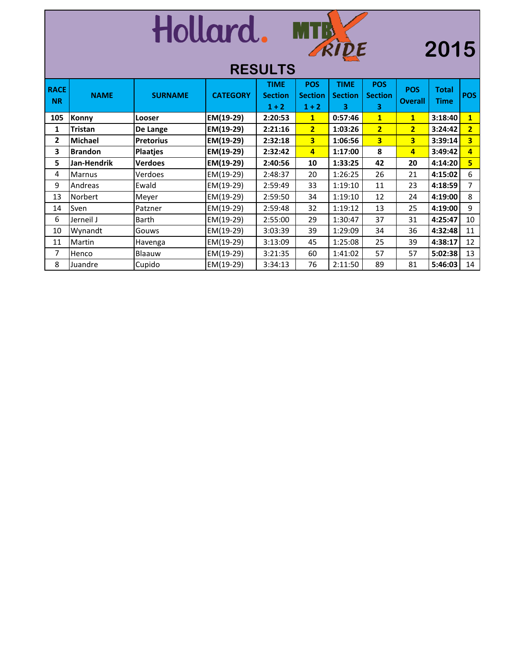|                          |                |                  | Hollard.        | <b>RESULTS</b>                           | MTB                                     |                                    |                                   |                              | 2015                        |                         |
|--------------------------|----------------|------------------|-----------------|------------------------------------------|-----------------------------------------|------------------------------------|-----------------------------------|------------------------------|-----------------------------|-------------------------|
| <b>RACE</b><br><b>NR</b> | <b>NAME</b>    | <b>SURNAME</b>   | <b>CATEGORY</b> | <b>TIME</b><br><b>Section</b><br>$1 + 2$ | <b>POS</b><br><b>Section</b><br>$1 + 2$ | <b>TIME</b><br><b>Section</b><br>3 | <b>POS</b><br><b>Section</b><br>3 | <b>POS</b><br><b>Overall</b> | <b>Total</b><br><b>Time</b> | <b>POS</b>              |
| 105                      | Konny          | Looser           | EM(19-29)       | 2:20:53                                  | $\mathbf{1}$                            | 0:57:46                            | $\mathbf{1}$                      | $\mathbf{1}$                 | 3:18:40                     | $\overline{1}$          |
| 1                        | <b>Tristan</b> | De Lange         | EM(19-29)       | 2:21:16                                  | $\overline{2}$                          | 1:03:26                            | $\overline{2}$                    | $\overline{2}$               | 3:24:42                     | $\overline{2}$          |
| $\overline{2}$           | <b>Michael</b> | <b>Pretorius</b> | EM(19-29)       | 2:32:18                                  | $\overline{3}$                          | 1:06:56                            | $\overline{3}$                    | $\overline{\mathbf{3}}$      | 3:39:14                     | $\overline{\mathbf{3}}$ |
| 3                        | <b>Brandon</b> | <b>Plaatjes</b>  | EM(19-29)       | 2:32:42                                  | $\overline{4}$                          | 1:17:00                            | 8                                 | $\overline{4}$               | 3:49:42                     | $\overline{a}$          |
| 5                        | Jan-Hendrik    | <b>Verdoes</b>   | EM(19-29)       | 2:40:56                                  | 10                                      | 1:33:25                            | 42                                | 20                           | 4:14:20                     | 5                       |
| 4                        | <b>Marnus</b>  | Verdoes          | EM(19-29)       | 2:48:37                                  | 20                                      | 1:26:25                            | 26                                | 21                           | 4:15:02                     | 6                       |
| 9                        | Andreas        | Ewald            | EM(19-29)       | 2:59:49                                  | 33                                      | 1:19:10                            | 11                                | 23                           | 4:18:59                     | $\overline{7}$          |
| 13                       | Norbert        | Meyer            | EM(19-29)       | 2:59:50                                  | 34                                      | 1:19:10                            | 12                                | 24                           | 4:19:00                     | 8                       |
| 14                       | Sven           | Patzner          | EM(19-29)       | 2:59:48                                  | 32                                      | 1:19:12                            | 13                                | 25                           | 4:19:00                     | 9                       |
| 6                        | Jerneil J      | <b>Barth</b>     | EM(19-29)       | 2:55:00                                  | 29                                      | 1:30:47                            | 37                                | 31                           | 4:25:47                     | 10                      |
| 10                       | Wynandt        | Gouws            | EM(19-29)       | 3:03:39                                  | 39                                      | 1:29:09                            | 34                                | 36                           | 4:32:48                     | 11                      |
| 11                       | Martin         | Havenga          | EM(19-29)       | 3:13:09                                  | 45                                      | 1:25:08                            | 25                                | 39                           | 4:38:17                     | 12                      |
| 7                        | Henco          | Blaauw           | EM(19-29)       | 3:21:35                                  | 60                                      | 1:41:02                            | 57                                | 57                           | 5:02:38                     | 13                      |
| 8                        | Juandre        | Cupido           | EM(19-29)       | 3:34:13                                  | 76                                      | 2:11:50                            | 89                                | 81                           | 5:46:03                     | 14                      |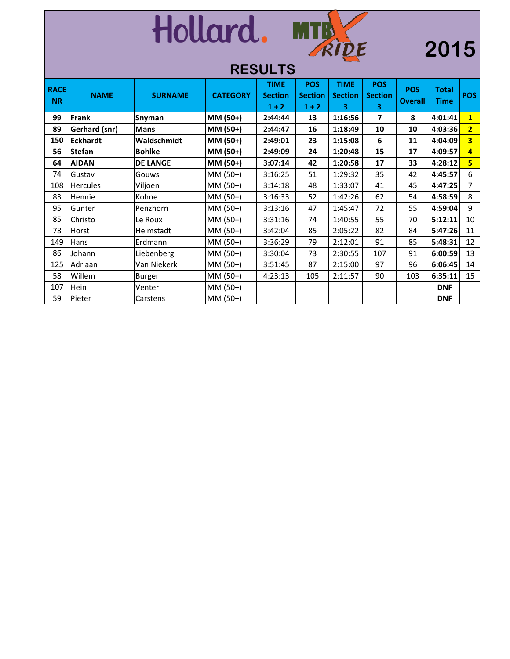|                          |                      |                 | Hollard.        | <b>RESULTS</b>                           | RIDE                                    |                                                          |                                   |                              | 2015                        |                         |
|--------------------------|----------------------|-----------------|-----------------|------------------------------------------|-----------------------------------------|----------------------------------------------------------|-----------------------------------|------------------------------|-----------------------------|-------------------------|
| <b>RACE</b><br><b>NR</b> | <b>NAME</b>          | <b>SURNAME</b>  | <b>CATEGORY</b> | <b>TIME</b><br><b>Section</b><br>$1 + 2$ | <b>POS</b><br><b>Section</b><br>$1 + 2$ | <b>TIME</b><br><b>Section</b><br>$\overline{\mathbf{3}}$ | <b>POS</b><br><b>Section</b><br>3 | <b>POS</b><br><b>Overall</b> | <b>Total</b><br><b>Time</b> | <b>POS</b>              |
| 99                       | Frank                | Snyman          | MM (50+)        | 2:44:44                                  | 13                                      | 1:16:56                                                  | $\overline{\phantom{a}}$          | 8                            | 4:01:41                     | $\overline{1}$          |
| 89                       | <b>Gerhard (snr)</b> | <b>Mans</b>     | MM (50+)        | 2:44:47                                  | 16                                      | 1:18:49                                                  | 10                                | 10                           | 4:03:36                     | $\overline{2}$          |
| 150                      | <b>Eckhardt</b>      | Waldschmidt     | MM (50+)        | 2:49:01                                  | 23                                      | 1:15:08                                                  | 6                                 | 11                           | 4:04:09                     | $\overline{\mathbf{3}}$ |
| 56                       | <b>Stefan</b>        | <b>Bohlke</b>   | MM (50+)        | 2:49:09                                  | 24                                      | 1:20:48                                                  | 15                                | 17                           | 4:09:57                     | $\overline{4}$          |
| 64                       | <b>AIDAN</b>         | <b>DE LANGE</b> | MM (50+)        | 3:07:14                                  | 42                                      | 1:20:58                                                  | 17                                | 33                           | 4:28:12                     | $5\overline{)}$         |
| 74                       | Gustav               | Gouws           | MM (50+)        | 3:16:25                                  | 51                                      | 1:29:32                                                  | 35                                | 42                           | 4:45:57                     | 6                       |
| 108                      | <b>Hercules</b>      | Viljoen         | MM (50+)        | 3:14:18                                  | 48                                      | 1:33:07                                                  | 41                                | 45                           | 4:47:25                     | $\overline{7}$          |
| 83                       | Hennie               | Kohne           | MM (50+)        | 3:16:33                                  | 52                                      | 1:42:26                                                  | 62                                | 54                           | 4:58:59                     | 8                       |
| 95                       | Gunter               | Penzhorn        | MM (50+)        | 3:13:16                                  | 47                                      | 1:45:47                                                  | 72                                | 55                           | 4:59:04                     | 9                       |
| 85                       | Christo              | Le Roux         | MM (50+)        | 3:31:16                                  | 74                                      | 1:40:55                                                  | 55                                | 70                           | 5:12:11                     | 10                      |
| 78                       | <b>Horst</b>         | Heimstadt       | MM (50+)        | 3:42:04                                  | 85                                      | 2:05:22                                                  | 82                                | 84                           | 5:47:26                     | 11                      |
| 149                      | Hans                 | Erdmann         | MM (50+)        | 3:36:29                                  | 79                                      | 2:12:01                                                  | 91                                | 85                           | 5:48:31                     | 12                      |
| 86                       | Johann               | Liebenberg      | MM (50+)        | 3:30:04                                  | 73                                      | 2:30:55                                                  | 107                               | 91                           | 6:00:59                     | 13                      |
| 125                      | Adriaan              | Van Niekerk     | MM (50+)        | 3:51:45                                  | 87                                      | 2:15:00                                                  | 97                                | 96                           | 6:06:45                     | 14                      |
| 58                       | Willem               | Burger          | MM (50+)        | 4:23:13                                  | 105                                     | 2:11:57                                                  | 90                                | 103                          | 6:35:11                     | 15                      |
| 107                      | Hein                 | Venter          | MM (50+)        |                                          |                                         |                                                          |                                   |                              | <b>DNF</b>                  |                         |
| 59                       | Pieter               | Carstens        | MM (50+)        |                                          |                                         |                                                          |                                   |                              | <b>DNF</b>                  |                         |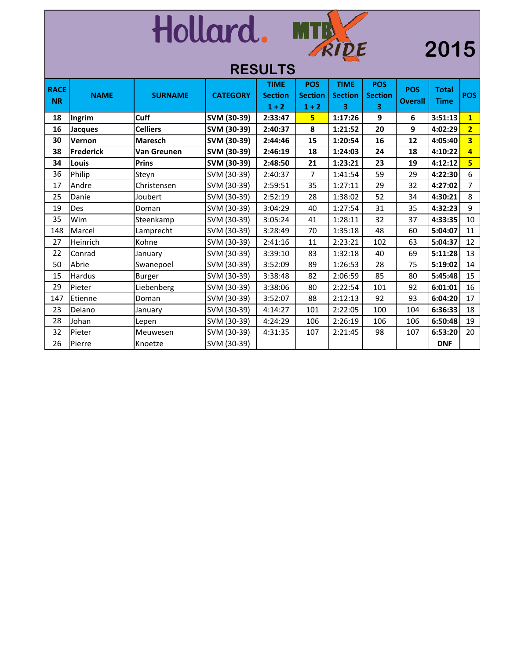|             | Hollard.<br>MTB<br>2015<br><b>RESULTS</b> |                 |                 |                           |                           |                     |                     |                |              |                         |  |
|-------------|-------------------------------------------|-----------------|-----------------|---------------------------|---------------------------|---------------------|---------------------|----------------|--------------|-------------------------|--|
| <b>RACE</b> |                                           |                 |                 | <b>TIME</b>               | <b>POS</b>                | <b>TIME</b>         | <b>POS</b>          | <b>POS</b>     | <b>Total</b> |                         |  |
| <b>NR</b>   | <b>NAME</b>                               | <b>SURNAME</b>  | <b>CATEGORY</b> | <b>Section</b><br>$1 + 2$ | <b>Section</b><br>$1 + 2$ | <b>Section</b><br>3 | <b>Section</b><br>3 | <b>Overall</b> | <b>Time</b>  | <b>POS</b>              |  |
| 18          | Ingrim                                    | <b>Cuff</b>     | SVM (30-39)     | 2:33:47                   | 5 <sub>5</sub>            | 1:17:26             | 9                   | 6              | 3:51:13      | $\overline{1}$          |  |
| 16          | <b>Jacques</b>                            | <b>Celliers</b> | SVM (30-39)     | 2:40:37                   | 8                         | 1:21:52             | 20                  | 9              | 4:02:29      | $\overline{2}$          |  |
| 30          | Vernon                                    | <b>Maresch</b>  | SVM (30-39)     | 2:44:46                   | 15                        | 1:20:54             | 16                  | 12             | 4:05:40      | $\overline{\mathbf{3}}$ |  |
| 38          | <b>Frederick</b>                          | Van Greunen     | SVM (30-39)     | 2:46:19                   | 18                        | 1:24:03             | 24                  | 18             | 4:10:22      | $\overline{4}$          |  |
| 34          | Louis                                     | <b>Prins</b>    | SVM (30-39)     | 2:48:50                   | 21                        | 1:23:21             | 23                  | 19             | 4:12:12      | $\overline{\mathbf{5}}$ |  |
| 36          | Philip                                    | Steyn           | SVM (30-39)     | 2:40:37                   | 7                         | 1:41:54             | 59                  | 29             | 4:22:30      | 6                       |  |
| 17          | Andre                                     | Christensen     | SVM (30-39)     | 2:59:51                   | 35                        | 1:27:11             | 29                  | 32             | 4:27:02      | $\overline{7}$          |  |
| 25          | Danie                                     | Joubert         | SVM (30-39)     | 2:52:19                   | 28                        | 1:38:02             | 52                  | 34             | 4:30:21      | 8                       |  |
| 19          | Des                                       | Doman           | SVM (30-39)     | 3:04:29                   | 40                        | 1:27:54             | 31                  | 35             | 4:32:23      | 9                       |  |
| 35          | Wim                                       | Steenkamp       | SVM (30-39)     | 3:05:24                   | 41                        | 1:28:11             | 32                  | 37             | 4:33:35      | 10                      |  |
| 148         | Marcel                                    | Lamprecht       | SVM (30-39)     | 3:28:49                   | 70                        | 1:35:18             | 48                  | 60             | 5:04:07      | 11                      |  |
| 27          | Heinrich                                  | Kohne           | SVM (30-39)     | 2:41:16                   | 11                        | 2:23:21             | 102                 | 63             | 5:04:37      | 12                      |  |
| 22          | Conrad                                    | January         | SVM (30-39)     | 3:39:10                   | 83                        | 1:32:18             | 40                  | 69             | 5:11:28      | 13                      |  |
| 50          | Abrie                                     | Swanepoel       | SVM (30-39)     | 3:52:09                   | 89                        | 1:26:53             | 28                  | 75             | 5:19:02      | 14                      |  |
| 15          | Hardus                                    | Burger          | SVM (30-39)     | 3:38:48                   | 82                        | 2:06:59             | 85                  | 80             | 5:45:48      | 15                      |  |
| 29          | Pieter                                    | Liebenberg      | SVM (30-39)     | 3:38:06                   | 80                        | 2:22:54             | 101                 | 92             | 6:01:01      | 16                      |  |
| 147         | Etienne                                   | Doman           | SVM (30-39)     | 3:52:07                   | 88                        | 2:12:13             | 92                  | 93             | 6:04:20      | 17                      |  |
| 23          | Delano                                    | January         | SVM (30-39)     | 4:14:27                   | 101                       | 2:22:05             | 100                 | 104            | 6:36:33      | 18                      |  |
| 28          | Johan                                     | Lepen           | SVM (30-39)     | 4:24:29                   | 106                       | 2:26:19             | 106                 | 106            | 6:50:48      | 19                      |  |
| 32          | Pieter                                    | Meuwesen        | SVM (30-39)     | 4:31:35                   | 107                       | 2:21:45             | 98                  | 107            | 6:53:20      | 20                      |  |
| 26          | Pierre                                    | Knoetze         | SVM (30-39)     |                           |                           |                     |                     |                | <b>DNF</b>   |                         |  |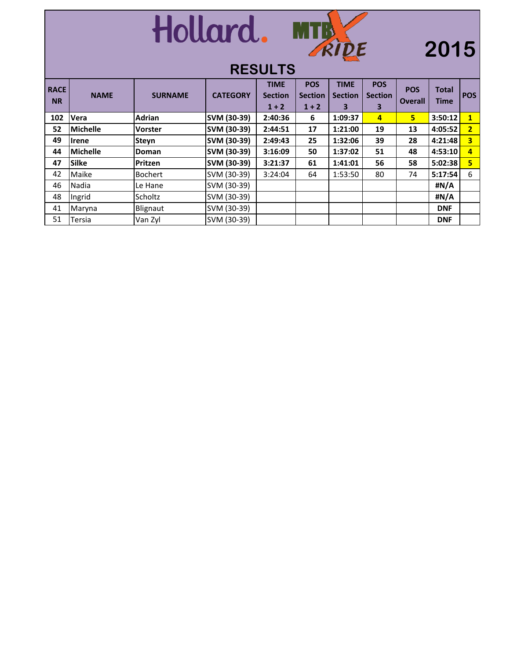



## **2015**

| <b>RACE</b><br><b>NR</b> | <b>NAME</b>     | <b>SURNAME</b> | <b>CATEGORY</b> | <b>TIME</b><br><b>Section</b><br>$1 + 2$ | <b>POS</b><br><b>Section</b><br>$1 + 2$ | <b>TIME</b><br><b>Section</b><br>3 | <b>POS</b><br><b>Section</b><br>3 | <b>POS</b><br><b>Overall</b> | <b>Total</b><br><b>Time</b> | <b>POS</b>              |
|--------------------------|-----------------|----------------|-----------------|------------------------------------------|-----------------------------------------|------------------------------------|-----------------------------------|------------------------------|-----------------------------|-------------------------|
| 102                      | Vera            | <b>Adrian</b>  | SVM (30-39)     | 2:40:36                                  | 6                                       | 1:09:37                            | 4                                 | 5.                           | 3:50:12                     | 1                       |
| 52                       | <b>Michelle</b> | <b>Vorster</b> | SVM (30-39)     | 2:44:51                                  | 17                                      | 1:21:00                            | 19                                | 13                           | 4:05:52                     | 2                       |
| 49                       | <b>Irene</b>    | <b>Steyn</b>   | SVM (30-39)     | 2:49:43                                  | 25                                      | 1:32:06                            | 39                                | 28                           | 4:21:48                     | $\overline{\mathbf{3}}$ |
| 44                       | <b>Michelle</b> | Doman          | SVM (30-39)     | 3:16:09                                  | 50                                      | 1:37:02                            | 51                                | 48                           | 4:53:10                     | 4                       |
| 47                       | <b>Silke</b>    | Pritzen        | SVM (30-39)     | 3:21:37                                  | 61                                      | 1:41:01                            | 56                                | 58                           | 5:02:38                     | 5                       |
| 42                       | Maike           | <b>Bochert</b> | SVM (30-39)     | 3:24:04                                  | 64                                      | 1:53:50                            | 80                                | 74                           | 5:17:54                     | 6                       |
| 46                       | Nadia           | Le Hane        | SVM (30-39)     |                                          |                                         |                                    |                                   |                              | #N/A                        |                         |
| 48                       | Ingrid          | Scholtz        | SVM (30-39)     |                                          |                                         |                                    |                                   |                              | #N/A                        |                         |
| 41                       | Maryna          | Blignaut       | SVM (30-39)     |                                          |                                         |                                    |                                   |                              | <b>DNF</b>                  |                         |
| 51                       | Tersia          | Van Zyl        | SVM (30-39)     |                                          |                                         |                                    |                                   |                              | <b>DNF</b>                  |                         |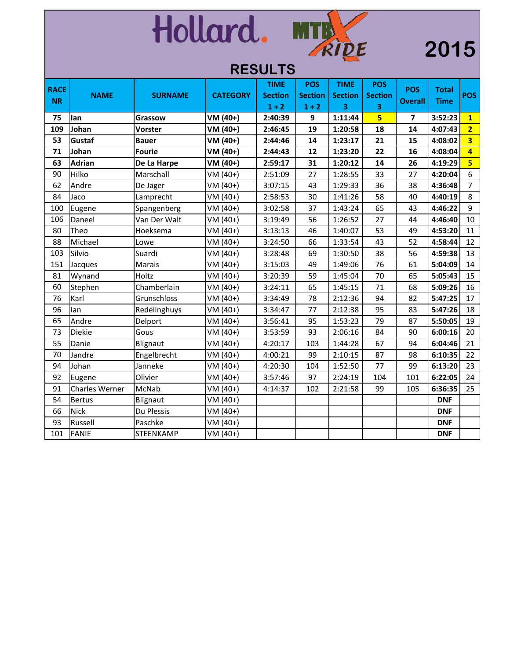# Hollard. MTR

## 

|             | REJULI J       |                |                 |                |                |                |                |                         |              |                         |  |  |
|-------------|----------------|----------------|-----------------|----------------|----------------|----------------|----------------|-------------------------|--------------|-------------------------|--|--|
| <b>RACE</b> |                |                |                 | <b>TIME</b>    | <b>POS</b>     | <b>TIME</b>    | <b>POS</b>     | <b>POS</b>              | <b>Total</b> |                         |  |  |
| <b>NR</b>   | <b>NAME</b>    | <b>SURNAME</b> | <b>CATEGORY</b> | <b>Section</b> | <b>Section</b> | <b>Section</b> | <b>Section</b> | <b>Overall</b>          | <b>Time</b>  | <b>POS</b>              |  |  |
|             |                |                |                 | $1 + 2$        | $1 + 2$        | 3              | 3              |                         |              |                         |  |  |
| 75          | lan            | Grassow        | VM (40+)        | 2:40:39        | 9              | 1:11:44        | 5              | $\overline{\mathbf{z}}$ | 3:52:23      | $\overline{1}$          |  |  |
| 109         | Johan          | Vorster        | VM (40+)        | 2:46:45        | 19             | 1:20:58        | 18             | 14                      | 4:07:43      | $\overline{2}$          |  |  |
| 53          | Gustaf         | <b>Bauer</b>   | VM (40+)        | 2:44:46        | 14             | 1:23:17        | 21             | 15                      | 4:08:02      | $\overline{\mathbf{3}}$ |  |  |
| 71          | Johan          | <b>Fourie</b>  | VM (40+)        | 2:44:43        | 12             | 1:23:20        | 22             | 16                      | 4:08:04      | 4                       |  |  |
| 63          | <b>Adrian</b>  | De La Harpe    | VM (40+)        | 2:59:17        | 31             | 1:20:12        | 14             | 26                      | 4:19:29      | $\overline{\mathbf{5}}$ |  |  |
| 90          | Hilko          | Marschall      | VM (40+)        | 2:51:09        | 27             | 1:28:55        | 33             | 27                      | 4:20:04      | 6                       |  |  |
| 62          | Andre          | De Jager       | VM (40+)        | 3:07:15        | 43             | 1:29:33        | 36             | 38                      | 4:36:48      | $\overline{7}$          |  |  |
| 84          | Jaco           | Lamprecht      | VM (40+)        | 2:58:53        | 30             | 1:41:26        | 58             | 40                      | 4:40:19      | 8                       |  |  |
| 100         | Eugene         | Spangenberg    | VM (40+)        | 3:02:58        | 37             | 1:43:24        | 65             | 43                      | 4:46:22      | 9                       |  |  |
| 106         | Daneel         | Van Der Walt   | VM (40+)        | 3:19:49        | 56             | 1:26:52        | 27             | 44                      | 4:46:40      | 10                      |  |  |
| 80          | Theo           | Hoeksema       | VM (40+)        | 3:13:13        | 46             | 1:40:07        | 53             | 49                      | 4:53:20      | 11                      |  |  |
| 88          | Michael        | Lowe           | VM (40+)        | 3:24:50        | 66             | 1:33:54        | 43             | 52                      | 4:58:44      | 12                      |  |  |
| 103         | Silvio         | Suardi         | VM (40+)        | 3:28:48        | 69             | 1:30:50        | 38             | 56                      | 4:59:38      | 13                      |  |  |
| 151         | Jacques        | Marais         | VM (40+)        | 3:15:03        | 49             | 1:49:06        | 76             | 61                      | 5:04:09      | 14                      |  |  |
| 81          | Wynand         | Holtz          | VM (40+)        | 3:20:39        | 59             | 1:45:04        | 70             | 65                      | 5:05:43      | 15                      |  |  |
| 60          | Stephen        | Chamberlain    | VM (40+)        | 3:24:11        | 65             | 1:45:15        | 71             | 68                      | 5:09:26      | 16                      |  |  |
| 76          | Karl           | Grunschloss    | VM (40+)        | 3:34:49        | 78             | 2:12:36        | 94             | 82                      | 5:47:25      | 17                      |  |  |
| 96          | lan            | Redelinghuys   | VM (40+)        | 3:34:47        | 77             | 2:12:38        | 95             | 83                      | 5:47:26      | 18                      |  |  |
| 65          | Andre          | Delport        | VM (40+)        | 3:56:41        | 95             | 1:53:23        | 79             | 87                      | 5:50:05      | 19                      |  |  |
| 73          | Diekie         | Gous           | VM (40+)        | 3:53:59        | 93             | 2:06:16        | 84             | 90                      | 6:00:16      | 20                      |  |  |
| 55          | Danie          | Blignaut       | VM (40+)        | 4:20:17        | 103            | 1:44:28        | 67             | 94                      | 6:04:46      | 21                      |  |  |
| 70          | Jandre         | Engelbrecht    | VM (40+)        | 4:00:21        | 99             | 2:10:15        | 87             | 98                      | 6:10:35      | 22                      |  |  |
| 94          | Johan          | Janneke        | VM (40+)        | 4:20:30        | 104            | 1:52:50        | 77             | 99                      | 6:13:20      | 23                      |  |  |
| 92          | Eugene         | Olivier        | VM (40+)        | 3:57:46        | 97             | 2:24:19        | 104            | 101                     | 6:22:05      | 24                      |  |  |
| 91          | Charles Werner | McNab          | VM (40+)        | 4:14:37        | 102            | 2:21:58        | 99             | 105                     | 6:36:35      | 25                      |  |  |
| 54          | <b>Bertus</b>  | Blignaut       | VM (40+)        |                |                |                |                |                         | <b>DNF</b>   |                         |  |  |
| 66          | <b>Nick</b>    | Du Plessis     | VM (40+)        |                |                |                |                |                         | <b>DNF</b>   |                         |  |  |
| 93          | Russell        | Paschke        | VM (40+)        |                |                |                |                |                         | <b>DNF</b>   |                         |  |  |
| 101         | <b>FANIE</b>   | STEENKAMP      | $VM (40+)$      |                |                |                |                |                         | <b>DNF</b>   |                         |  |  |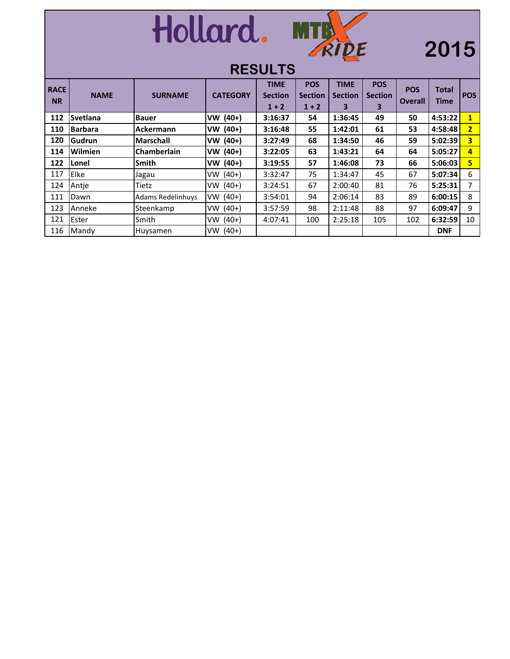

## **2015**

| <b>RACE</b><br><b>NR</b> | <b>NAME</b>     | <b>SURNAME</b>           | <b>CATEGORY</b>      | <b>TIME</b><br><b>Section</b><br>$1 + 2$ | <b>POS</b><br><b>Section</b><br>$1 + 2$ | <b>TIME</b><br><b>Section</b><br>3 | <b>POS</b><br><b>Section</b><br>3 | <b>POS</b><br><b>Overall</b> | <b>Total</b><br><b>Time</b> | <b>POS</b>              |
|--------------------------|-----------------|--------------------------|----------------------|------------------------------------------|-----------------------------------------|------------------------------------|-----------------------------------|------------------------------|-----------------------------|-------------------------|
| 112                      | <b>Svetlana</b> | <b>Bauer</b>             | VW (40+)             | 3:16:37                                  | 54                                      | 1:36:45                            | 49                                | 50                           | 4:53:22                     | $\mathbf{1}$            |
| 110                      | <b>Barbara</b>  | Ackermann                | $VW(40+)$            | 3:16:48                                  | 55                                      | 1:42:01                            | 61                                | 53                           | 4:58:48                     | $\overline{2}$          |
| 120                      | Gudrun          | <b>Marschall</b>         | VW (40+)             | 3:27:49                                  | 68                                      | 1:34:50                            | 46                                | 59                           | 5:02:39                     | $\overline{\mathbf{3}}$ |
| 114                      | <b>Wilmien</b>  | <b>Chamberlain</b>       | $(40+)$<br><b>VW</b> | 3:22:05                                  | 63                                      | 1:43:21                            | 64                                | 64                           | 5:05:27                     | 4                       |
| 122                      | Lonel           | <b>Smith</b>             | $(40+)$<br><b>VW</b> | 3:19:55                                  | 57                                      | 1:46:08                            | 73                                | 66                           | 5:06:03                     | 5.                      |
| 117                      | Elke            | Jagau                    | $VW(40+)$            | 3:32:47                                  | 75                                      | 1:34:47                            | 45                                | 67                           | 5:07:34                     | 6                       |
| 124                      | Antie           | Tietz                    | $VW(40+)$            | 3:24:51                                  | 67                                      | 2:00:40                            | 81                                | 76                           | 5:25:31                     | 7                       |
| 111                      | Dawn            | <b>Adams Redelinhuys</b> | $(40+)$<br><b>VW</b> | 3:54:01                                  | 94                                      | 2:06:14                            | 83                                | 89                           | 6:00:15                     | 8                       |
| 123                      | Anneke          | Steenkamp                | $VW(40+)$            | 3:57:59                                  | 98                                      | 2:11:48                            | 88                                | 97                           | 6:09:47                     | 9                       |
| 121                      | Ester           | Smith                    | $VW(40+)$            | 4:07:41                                  | 100                                     | 2:25:18                            | 105                               | 102                          | 6:32:59                     | 10                      |
| 116                      | Mandy           | Huysamen                 | $VW(40+)$            |                                          |                                         |                                    |                                   |                              | <b>DNF</b>                  |                         |